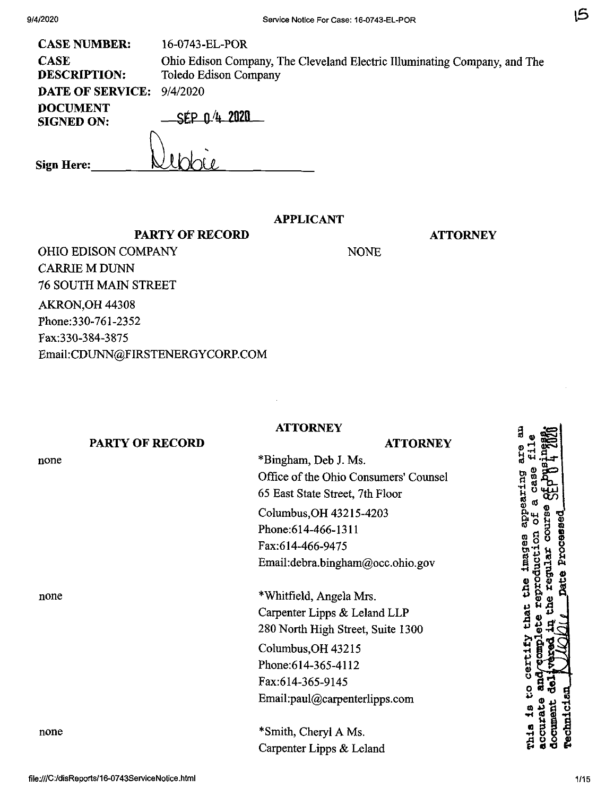| <b>CASE NUMBER:</b>                  | 16-0743-EL-POR                                                                                     |
|--------------------------------------|----------------------------------------------------------------------------------------------------|
| <b>CASE</b><br><b>DESCRIPTION:</b>   | Ohio Edison Company, The Cleveland Electric Illuminating Company, and The<br>Toledo Edison Company |
| <b>DATE OF SERVICE:</b>              | 9/4/2020                                                                                           |
| <b>POCUMENT</b><br><b>SIGNED ON:</b> | SEP 0.4 2020                                                                                       |
| <b>Sign Here:</b>                    |                                                                                                    |

# **APPLICANT**

NONE

**ATTORNEY**

**PARTY OF RECORD** OHIO EDISON COMPANY CARRIE M DUNN 76 SOUTH MAIN STREET AKRON,OH 44308 Phone:330-761-2352 Fax:330-384-3875 Email:CDUNN@FIRSTENERGYCORP.COM

## **ATTORNEY**

## **PARTY OF RECORD**

none

none

none

\*Bingham, Deb J. Ms. Office of the Ohio Consumers' Counsel 65 East State Street, 7th Floor Columbus,OH 43215-4203 Phone:614-466-1311 Fax:614-466-9475 Email:debra.bingham@occ.ohio.gov

**ATTORNEY**

\*Whitfield, Angela Mrs. Carpenter Lipps & Leland LLP 280 North High Street, Suite 1300

Columbus,OH 43215 Phone:614-365-4112 Fax:614-365-9145 Email:paul@carpenterlipps.com

\*Smith, Cheryl A Ms. Carpenter Lipps & Leland ã appearing lmages **a ® -1/ ri'** certif **rechnici**  $\frac{4}{9}$ **Temmor** *u a 0*

15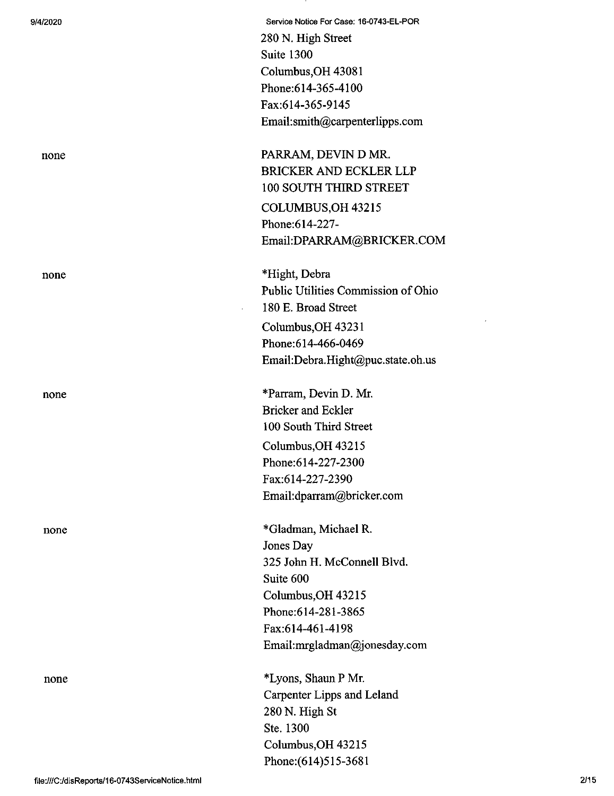9/4/2020 Service Notice For Case: 16-0743-EL-POR 280 N. High Street Suite 1300 Columbus,OH 43081 Phone:614-365-4100 Fax:614-365-9145 Email:smith@carpenterlipps.com

none PARRAM, DEVIN D MR. BRICKER AND ECKLER LLP 100 SOUTH THIRD STREET COLUMBUS,OH 43215 Phone:614-227- Email:DPARRAM@BRICKER.COM

none \*Hight, Debra Public Utilities Commission of Ohio 180 E. Broad Street Columbus,OH 43231 Phone:614-466-0469 Email:Debra.Hight@puc.state.oh.us

none \*Parram, Devin D. Mr. Bricker and Eckler 100 South Third Street Columbus,OH 43215 Phone:614-227-2300 Fax:614-227-2390 Email:dparram@bricker.com

none \*Gladman, Michael R. Jones Day 325 John H. McConnell Blvd. Suite 600 Columbus,OH 43215 Phone:614-281-3865 Fax:614-461-4198 Email:mrgladman@jonesday.com

none \*Lyons, Shaun P Mr. Carpenter Lipps and Leland 280 N. High St Ste. 1300 Columbus,OH 43215 Phone:(614)515-3681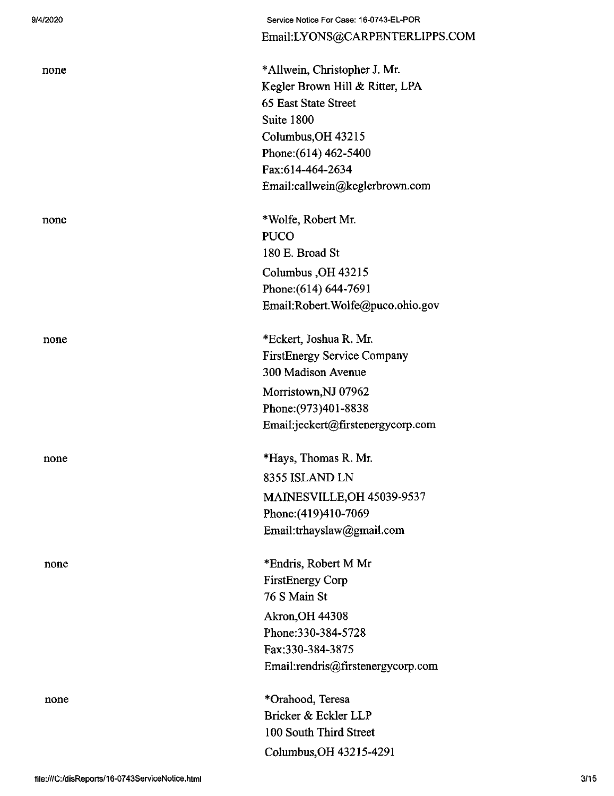| 9/4/2020 | Service Notice For Case: 16-0743-EL-POR |
|----------|-----------------------------------------|
|          | Email:LYONS@CARPENTERLIPPS.COM          |
| none     | *Allwein, Christopher J. Mr.            |
|          | Kegler Brown Hill & Ritter, LPA         |
|          | 65 East State Street                    |
|          | Suite 1800                              |
|          | Columbus, OH 43215                      |
|          | Phone: (614) 462-5400                   |
|          | Fax:614-464-2634                        |
|          | Email:callwein@keglerbrown.com          |
| none     | *Wolfe, Robert Mr.                      |
|          | <b>PUCO</b>                             |
|          | 180 E. Broad St                         |
|          | Columbus, OH 43215                      |
|          | Phone: (614) 644-7691                   |
|          | Email:Robert.Wolfe@puco.ohio.gov        |
| none     | *Eckert, Joshua R. Mr.                  |
|          | <b>FirstEnergy Service Company</b>      |
|          | 300 Madison Avenue                      |
|          | Morristown, NJ 07962                    |
|          | Phone: (973) 401-8838                   |
|          | Email:jeckert@firstenergycorp.com       |
| none     | *Hays, Thomas R. Mr.                    |
|          | 8355 ISLAND LN                          |
|          | MAINESVILLE, OH 45039-9537              |
|          | Phone: (419) 410-7069                   |
|          | Email:trhayslaw@gmail.com               |
| none     | *Endris, Robert M Mr                    |
|          | <b>FirstEnergy Corp</b>                 |
|          | 76 S Main St                            |
|          | <b>Akron, OH 44308</b>                  |
|          | Phone:330-384-5728                      |
|          | Fax:330-384-3875                        |
|          | Email:rendris@firstenergycorp.com       |
| none     | *Orahood, Teresa                        |
|          | Bricker & Eckler LLP                    |
|          | 100 South Third Street                  |
|          | Columbus, OH 43215-4291                 |
|          |                                         |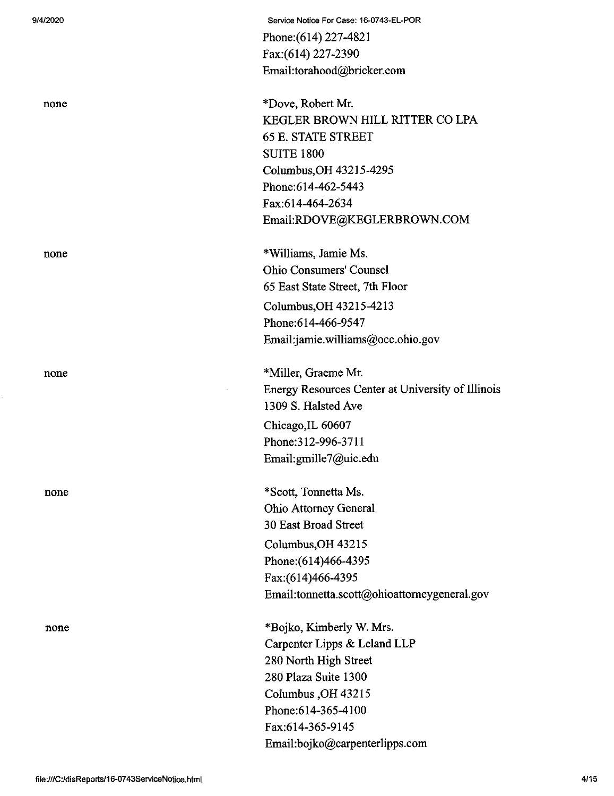none

none

**9/4/2020 Service Notice For Case: 16-0743-EL-POR** Phone:(614) 227-4821 Fax:(614) 227-2390 Email:torahood@bricker.com

none \*Dove, Robert Mr. KEGLER BROWN HILL RITTER CO LPA 65 E. STATE STREET SUITE 1800 Columbus,OH 43215-4295 Phone:614-462-5443 Fax:614-464-2634 Email:RDOVE@KEGLERBROWN.COM

none \*Williams, Jamie Ms. Ohio Consumers' Counsel 65 East State Street, 7th Floor Columbus,OH 43215-4213 Phone:614-466-9547 Email:jamie.williams@occ.ohio.gov

none \*Miller, Graeme Mr. Energy Resources Center at University of Illinois 1309 S. Halsted Ave Chicago,IL 60607 Phone:312-996-3711 Email:gmille7@uic.edu

> \*Scott, Tonnetta Ms. Ohio Attorney General 30 East Broad Street Columbus,OH 43215 Phone:(614)466-4395 Fax:(614)466-4395 Email:tonnetta.scott@ohioattomeygeneral.gov

\*Bojko, Kimberly W. Mrs. Carpenter Lipps & Leland LLP 280 North High Street 280 Plaza Suite 1300 Columbus ,OH43215 Phone:614-365-4100 Fax:614-365-9145 Email:bojko@carpenterlipps.com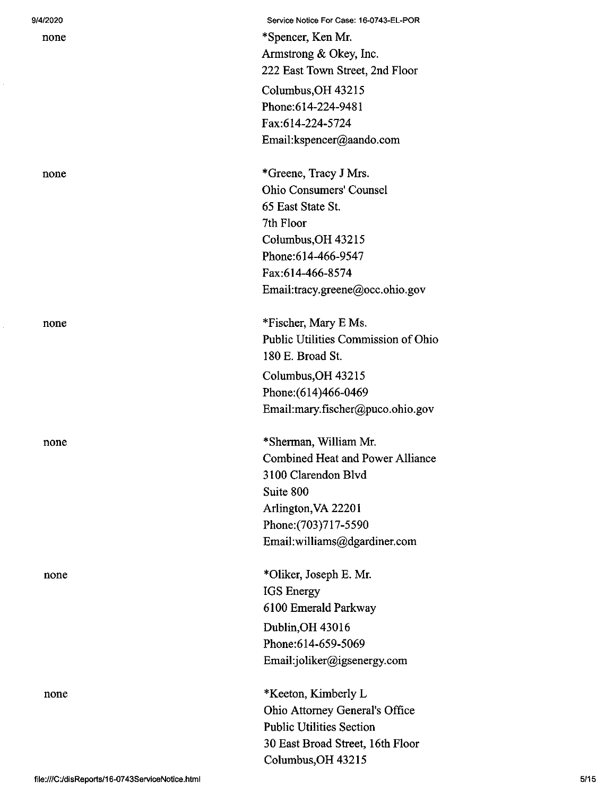| 9/4/2020 | Service Notice For Case: 16-0743-EL-POR |
|----------|-----------------------------------------|
| none     | *Spencer, Ken Mr.                       |
|          | Armstrong & Okey, Inc.                  |
|          | 222 East Town Street, 2nd Floor         |
|          | Columbus, OH 43215                      |
|          | Phone:614-224-9481                      |
|          | Fax:614-224-5724                        |
|          | Email:kspencer@aando.com                |
|          |                                         |
| none     | *Greene, Tracy J Mrs.                   |
|          | <b>Ohio Consumers' Counsel</b>          |
|          | 65 East State St.                       |
|          | 7th Floor                               |
|          | Columbus, OH 43215                      |
|          | Phone:614-466-9547                      |
|          | Fax:614-466-8574                        |
|          | Email:tracy.greene@occ.ohio.gov         |
|          | *Fischer, Mary E Ms.                    |
| none     | Public Utilities Commission of Ohio     |
|          | 180 E. Broad St.                        |
|          |                                         |
|          | Columbus, OH 43215                      |
|          | Phone: (614)466-0469                    |
|          | Email:mary.fischer@puco.ohio.gov        |
| none     | *Sherman, William Mr.                   |
|          | <b>Combined Heat and Power Alliance</b> |
|          | 3100 Clarendon Blvd                     |
|          | Suite 800                               |
|          | Arlington, VA 22201                     |
|          | Phone: (703) 717-5590                   |
|          | Email:williams@dgardiner.com            |
|          |                                         |
| none     | *Oliker, Joseph E. Mr.                  |
|          | <b>IGS</b> Energy                       |
|          | 6100 Emerald Parkway                    |
|          | Dublin, OH 43016                        |
|          | Phone:614-659-5069                      |
|          | Email:joliker@igsenergy.com             |
| none     | *Keeton, Kimberly L                     |
|          | Ohio Attorney General's Office          |
|          | <b>Public Utilities Section</b>         |
|          | 30 East Broad Street, 16th Floor        |

Columbus,OH 43215

Ŷ.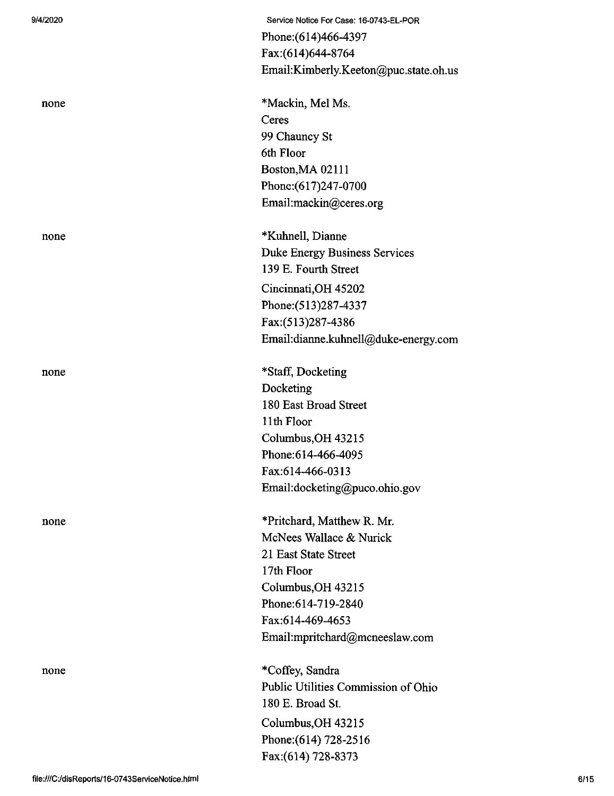| 9/4/2020 | Service Notice For Case: 16-0743-EL-POR |
|----------|-----------------------------------------|
|          | Phone: (614)466-4397                    |
|          | Fax:(614)644-8764                       |
|          | Email:Kimberly.Keeton@puc.state.oh.us   |
| none     | *Mackin, Mel Ms.                        |
|          | Ceres                                   |
|          | 99 Chauncy St                           |
|          | 6th Floor                               |
|          | Boston, MA 02111                        |
|          | Phone: (617)247-0700                    |
|          | Email:mackin@ceres.org                  |
| none     | *Kuhnell, Dianne                        |
|          | Duke Energy Business Services           |
|          | 139 E. Fourth Street                    |
|          | Cincinnati, OH 45202                    |
|          | Phone: (513) 287-4337                   |
|          | Fax:(513)287-4386                       |
|          | Email:dianne.kuhnell@duke-energy.com    |
| none     | *Staff, Docketing                       |
|          | Docketing                               |
|          | 180 East Broad Street                   |
|          | 11th Floor                              |
|          | Columbus, OH 43215                      |
|          | Phone: 614-466-4095                     |
|          | Fax:614-466-0313                        |
|          | Email:docketing@puco.ohio.gov           |
| none     | *Pritchard, Matthew R. Mr.              |
|          | McNees Wallace & Nurick                 |
|          | 21 East State Street                    |
|          | 17th Floor                              |
|          | Columbus, OH 43215                      |
|          | Phone: 614-719-2840                     |
|          | Fax:614-469-4653                        |
|          | Email:mpritchard@mcneeslaw.com          |
| none     | *Coffey, Sandra                         |
|          | Public Utilities Commission of Ohio     |
|          | 180 E. Broad St.                        |
|          | Columbus, OH 43215                      |
|          | Phone: (614) 728-2516                   |
|          | Fax:(614) 728-8373                      |
|          |                                         |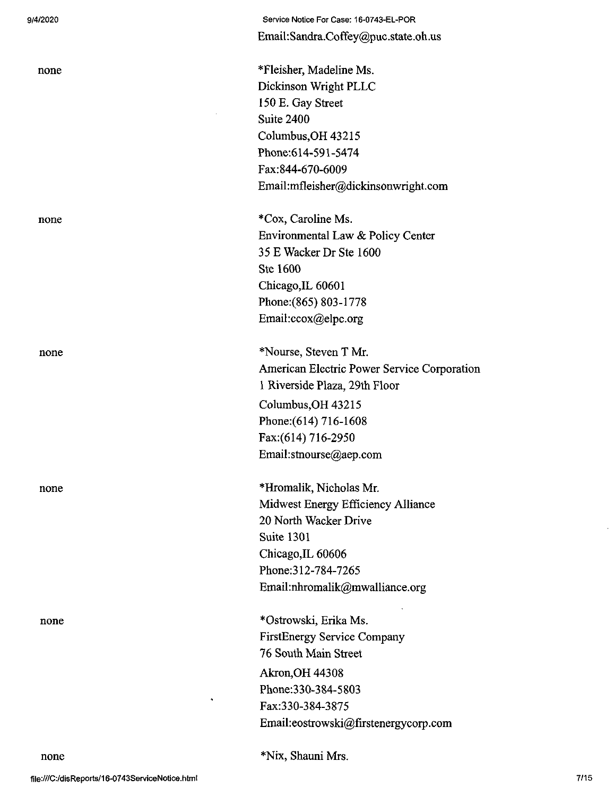| 9/4/2020 |
|----------|
|----------|

| 4/2020 | Service Notice For Case: 16-0743-EL-POR     |
|--------|---------------------------------------------|
|        | Email:Sandra.Coffey@puc.state.oh.us         |
| none   | *Fleisher, Madeline Ms.                     |
|        | Dickinson Wright PLLC                       |
|        | 150 E. Gay Street                           |
|        | Suite 2400                                  |
|        | Columbus, OH 43215                          |
|        | Phone: 614-591-5474                         |
|        | Fax:844-670-6009                            |
|        | Email:mfleisher@dickinsonwright.com         |
| none   | *Cox, Caroline Ms.                          |
|        | Environmental Law & Policy Center           |
|        | 35 E Wacker Dr Ste 1600                     |
|        | Ste 1600                                    |
|        | Chicago, IL 60601                           |
|        | Phone: (865) 803-1778                       |
|        | Email:ccox@elpc.org                         |
| none   | *Nourse, Steven T Mr.                       |
|        | American Electric Power Service Corporation |
|        | 1 Riverside Plaza, 29th Floor               |
|        | Columbus, OH 43215                          |
|        | Phone: (614) 716-1608                       |
|        | Fax:(614) 716-2950                          |
|        | Email:stnourse@aep.com                      |
| none   | *Hromalik, Nicholas Mr.                     |
|        | Midwest Energy Efficiency Alliance          |
|        | 20 North Wacker Drive                       |
|        | Suite 1301                                  |
|        | Chicago, IL 60606                           |
|        | Phone: 312-784-7265                         |
|        | Email:nhromalik@mwalliance.org              |
| none   | *Ostrowski, Erika Ms.                       |
|        | FirstEnergy Service Company                 |
|        | 76 South Main Street                        |
|        | <b>Akron, OH 44308</b>                      |
|        | Phone: 330-384-5803                         |
|        | ٠<br>Fax:330-384-3875                       |
|        | Email:eostrowski@firstenergycorp.com        |
| none   | *Nix, Shauni Mrs.                           |
|        |                                             |

 $\bar{z}$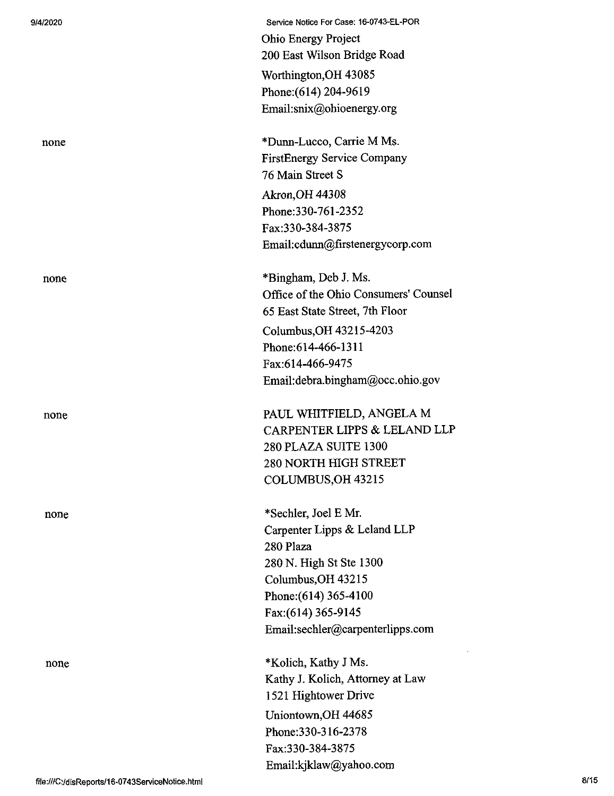none

none

none

none

Service Notice For Case: 16-0743-EL-POR Ohio Energy Project 200 East Wilson Bridge Road Worthington,OH 43085 Phone:(614) 204-9619 Email:snix@ohioenergy.org

\*Dunn-Lucco, Carrie M Ms. FirstEnergy Service Company 76 Main Street S Akron,OH 44308 Phone:330-761-2352 Fax:330-384-3875 Email:cdunn@firstenergycorp.com

\*Bingham, Deb J. Ms. Office of the Ohio Consumers' Counsel 65 East State Street, 7th Floor Columbus,OH 43215-4203 Phone:614-466-1311 Fax:614-466-9475 Email:debra.bingham@occ.ohio.gov

none PAUL WHITFIELD, ANGELA M CARPENTER LIPPS & LELAND LLP 280 PLAZA SUITE 1300 280 NORTH HIGH STREET COLUMBUS,OH 43215

> \*Sechler, Joel E Mr. Carpenter Lipps & Leland LLP 280 Plaza 280 N. High St Ste 1300 Columbus,OH 43215 Phone: (614) 365-4100 Fax:(614) 365-9145 Email:sechler@carpenterlipps.com

\*Kolich, Kathy J Ms. Kathy J. Kolich, Attorney at Law 1521 Hightower Drive Uniontown,OH 44685 Phone:330-316-2378 Fax:330-384-3875 Email:kjklaw@yahoo.eom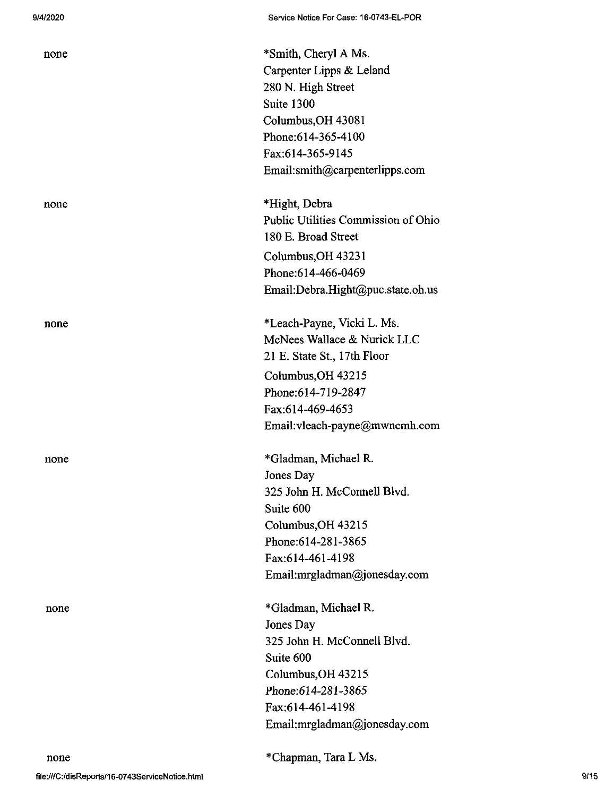| none | *Smith, Cheryl A Ms.<br>Carpenter Lipps & Leland<br>280 N. High Street<br>Suite 1300<br>Columbus, OH 43081<br>Phone: 614-365-4100<br>Fax:614-365-9145<br>Email:smith@carpenterlipps.com    |
|------|--------------------------------------------------------------------------------------------------------------------------------------------------------------------------------------------|
| none | *Hight, Debra<br>Public Utilities Commission of Ohio<br>180 E. Broad Street<br>Columbus, OH 43231<br>Phone: 614-466-0469<br>Email:Debra.Hight@puc.state.oh.us                              |
| none | *Leach-Payne, Vicki L. Ms.<br>McNees Wallace & Nurick LLC<br>21 E. State St., 17th Floor<br>Columbus, OH 43215<br>Phone:614-719-2847<br>Fax.614-469-4653<br>Email:vleach-payne@mwncmh.com  |
| none | *Gladman, Michael R.<br>Jones Day<br>325 John H. McConnell Blvd.<br>Suite 600<br>Columbus, OH 43215<br>Phone: 614-281-3865<br>Fax:614-461-4198<br>Email:mrgladman@jonesday.com             |
| none | *Gladman, Michael R.<br>Jones Day<br>325 John H. McConnell Blvd.<br>Suite 600<br>Columbus, OH 43215<br>Phone:614-281-3865<br>Fax:614-461-4198<br>Email:mrgladman@jonesday.com<br>~11<br>T. |

file:///C:/disReports/16-0743ServiceNotice.html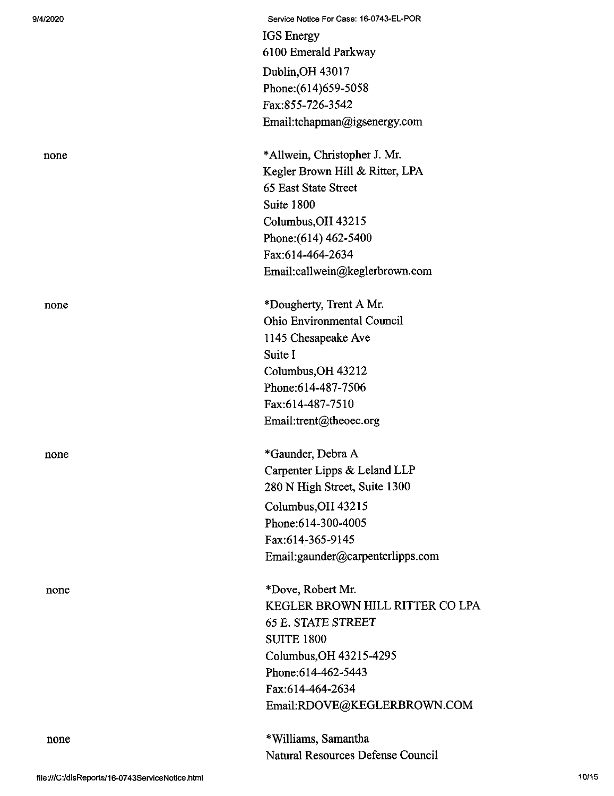| 9/4/2020 |
|----------|
|----------|

| 9/4/2020 | Service Notice For Case: 16-0743-EL-POR |
|----------|-----------------------------------------|
|          | <b>IGS</b> Energy                       |
|          | 6100 Emerald Parkway                    |
|          | Dublin, OH 43017                        |
|          | Phone: (614) 659-5058                   |
|          | Fax:855-726-3542                        |
|          | Email:tchapman@igsenergy.com            |
| none     | *Allwein, Christopher J. Mr.            |
|          | Kegler Brown Hill & Ritter, LPA         |
|          | 65 East State Street                    |
|          | Suite 1800                              |
|          | Columbus, OH 43215                      |
|          | Phone: (614) 462-5400                   |
|          | Fax:614-464-2634                        |
|          | Email:callwein@keglerbrown.com          |
| none     | *Dougherty, Trent A Mr.                 |
|          | Ohio Environmental Council              |
|          | 1145 Chesapeake Ave                     |
|          | Suite I                                 |
|          | Columbus, OH 43212                      |
|          | Phone: 614-487-7506                     |
|          | Fax:614-487-7510                        |
|          | Email:trent@theoec.org                  |
| none     | *Gaunder, Debra A                       |
|          | Carpenter Lipps & Leland LLP            |
|          | 280 N High Street, Suite 1300           |
|          | Columbus, OH 43215                      |
|          | Phone: 614-300-4005                     |
|          | Fax:614-365-9145                        |
|          | Email:gaunder@carpenterlipps.com        |
| none     | *Dove, Robert Mr.                       |
|          | KEGLER BROWN HILL RITTER CO LPA         |
|          | <b>65 E. STATE STREET</b>               |
|          | <b>SUITE 1800</b>                       |
|          | Columbus, OH 43215-4295                 |
|          | Phone: 614-462-5443                     |
|          | Fax:614-464-2634                        |
|          | Email:RDOVE@KEGLERBROWN.COM             |
| none     | *Williams, Samantha                     |
|          | Natural Resources Defense Council       |
|          |                                         |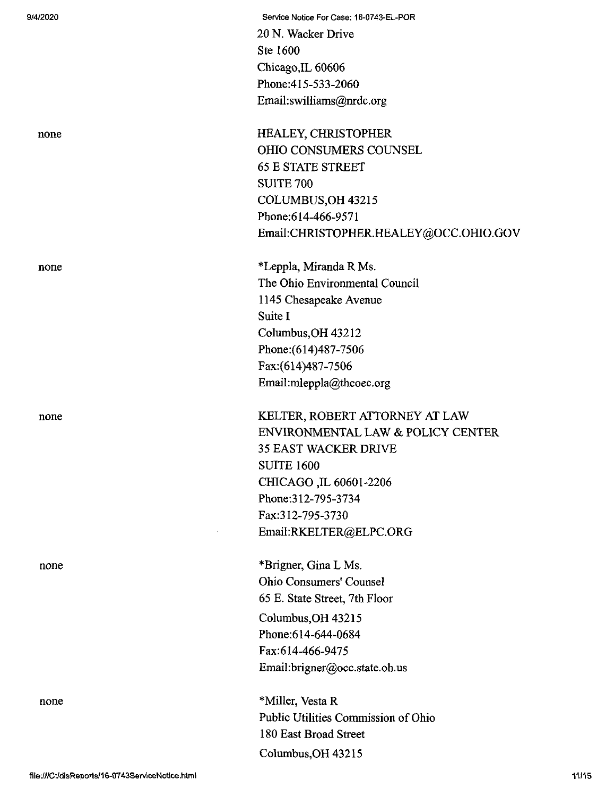9/4/2020 Service Notice For Case: 16-0743-EL-POR 20 N. Wacker Drive Ste 1600 Chicago,IL 60606 Phone:415-533-2060 Email:swilliams@nrdc.org none HEALEY, CHRISTOPHER OHIO CONSUMERS COUNSEL 65 E STATE STREET SUITE 700 COLUMBUS,OH 43215 Phone:614-466-9571 Email:CHRISTOPHER.HEALEY@OCC.OHIO.GOV none \*Leppla, Miranda R Ms. The Ohio Environmental Council 1145 Chesapeake Avenue Suite I Columbus,OH 43212 Phone:(614)487-7506 Fax:(614)487-7506 Email:mleppla@theoec.org none KELTER, ROBERT ATTORNEY AT LAW ENVIRONMENTAL LAW & POLICY CENTER 35 EAST WACKER DRIVE SUITE 1600 CHICAGO ,IL 60601-2206 Phone:312-795-3734 Fax:312-795-3730 EmaiI:RKELTER@ELPC.ORG none \*Brigner, Gina L Ms. Ohio Consumers' Counsel 65 E. State Street, 7th Floor Columbus,OH 43215 Phone:614-644-0684

Fax:614-466-9475

180 East Broad Street Columbus,OH 43215

Email:brigner@occ.state.oh.us

Public Utilities Commission of Ohio

none \*Miller, Vesta R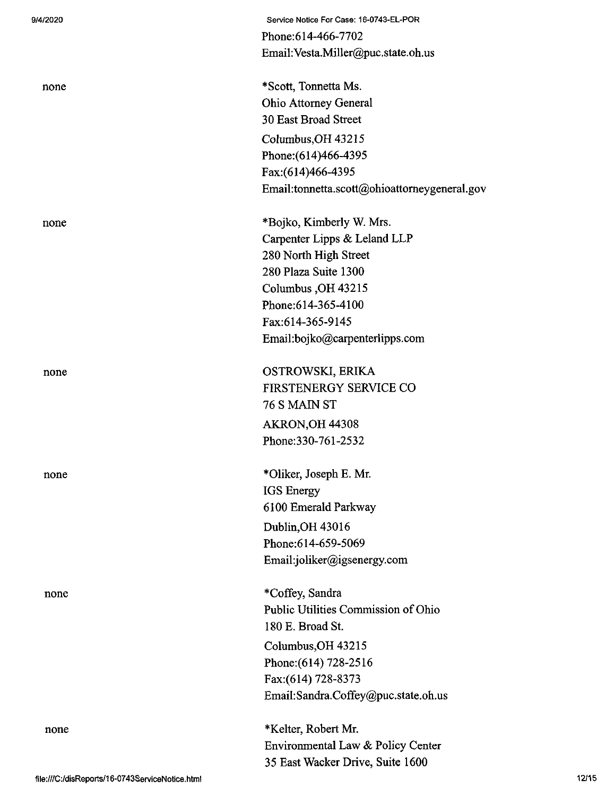| 9/4/2020 | Service Notice For Case: 16-0743-EL-POR       |
|----------|-----------------------------------------------|
|          | Phone: 614-466-7702                           |
|          | Email: Vesta.Miller@puc.state.oh.us           |
| none     | *Scott, Tonnetta Ms.                          |
|          | <b>Ohio Attorney General</b>                  |
|          | 30 East Broad Street                          |
|          | Columbus, OH 43215                            |
|          | Phone: (614)466-4395                          |
|          | Fax: (614) 466-4395                           |
|          | Email:tonnetta.scott@ohioattorneygeneral.gov  |
|          |                                               |
| none     | *Bojko, Kimberly W. Mrs.                      |
|          | Carpenter Lipps & Leland LLP                  |
|          | 280 North High Street<br>280 Plaza Suite 1300 |
|          |                                               |
|          | Columbus, OH 43215<br>Phone:614-365-4100      |
|          |                                               |
|          | Fax:614-365-9145                              |
|          | Email:bojko@carpenterlipps.com                |
| none     | OSTROWSKI, ERIKA                              |
|          | FIRSTENERGY SERVICE CO                        |
|          | <b>76 S MAIN ST</b>                           |
|          | <b>AKRON, OH 44308</b>                        |
|          | Phone: 330-761-2532                           |
| none     | *Oliker, Joseph E. Mr.                        |
|          | <b>IGS</b> Energy                             |
|          | 6100 Emerald Parkway                          |
|          | Dublin, OH 43016                              |
|          | Phone: 614-659-5069                           |
|          | Email:joliker@igsenergy.com                   |
|          |                                               |
| none     | *Coffey, Sandra                               |
|          | Public Utilities Commission of Ohio           |
|          | 180 E. Broad St.                              |
|          | Columbus, OH 43215                            |
|          | Phone: (614) 728-2516                         |
|          | Fax:(614) 728-8373                            |
|          | Email:Sandra.Coffey@puc.state.oh.us           |
| none     | *Kelter, Robert Mr.                           |
|          | Environmental Law & Policy Center             |
|          | 35 East Wacker Drive, Suite 1600              |
|          |                                               |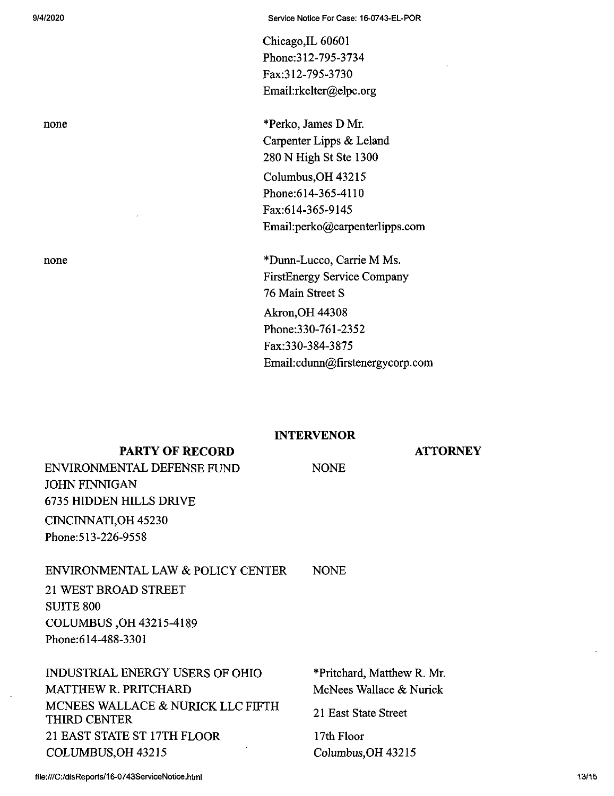Chicago,IL 60601 Phone:312-795-3734 Fax:312-795-3730 Email:rkelter@elpc.org

none \*Perko, James D Mr. Carpenter Lipps & Leland 280 N High St Ste 1300 Columbus,OH 43215 Phone:614-365-4110 Fax:614-365-9145 Email:perko@carpenterlipps.com

none \*Dunn-Lucco, Carrie M Ms. FirstEnergy Service Company 76 Main Street S Akron,OH 44308 Phone:330-761-2352 Fax:330-384-3875 Email:cdunn@firstenergycorp.com

#### INTERVENOR

NONE

### **ATTORNEY**

**PARTY OF RECORD** ENVIRONMENTAL DEFENSE FUND JOHN FINNIGAN 6735 HIDDEN HILLS DRIVE CINCINNATI,OH 45230 Phone:513-226-9558

#### ENVIRONMENTAL LAW & POLICY CENTER

**NONE** 

21 WEST BROAD STREET SUITE 800 COLUMBUS ,OH 43215-4189 Phone:614-488-3301

| INDUSTRIAL ENERGY USERS OF OHIO                          | *Pritchard, Matthew R. Mr. |
|----------------------------------------------------------|----------------------------|
| <b>MATTHEW R. PRITCHARD</b>                              | McNees Wallace & Nurick    |
| MCNEES WALLACE & NURICK LLC FIFTH<br><b>THIRD CENTER</b> | 21 East State Street       |
| 21 EAST STATE ST 17TH FLOOR                              | 17th Floor                 |
| COLUMBUS, OH 43215                                       | Columbus, OH 43215         |
|                                                          |                            |

**file:///C:/disReports/16-0743ServiceNotice.html**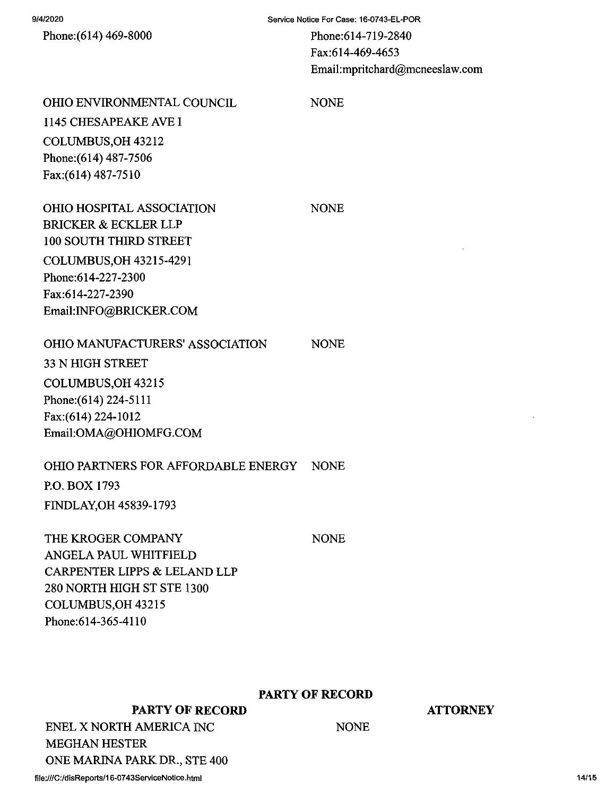Phone:(614) 469-8000

Service Notice For Case: 16-0743-EL-POR

Phone:614-719-2840 Fax:614-469-4653 d@mcneeslaw.com

|                                          | TAA.UI <del>TTU</del> JTU.<br>Email:mpritchar |
|------------------------------------------|-----------------------------------------------|
| <b>OHIO ENVIRONMENTAL COUNCIL</b>        | <b>NONE</b>                                   |
| 1145 CHESAPEAKE AVE I                    |                                               |
| COLUMBUS, OH 43212                       |                                               |
| Phone: (614) 487-7506                    |                                               |
| Fax:(614) 487-7510                       |                                               |
| OHIO HOSPITAL ASSOCIATION                | <b>NONE</b>                                   |
| BRICKER & ECKLER LLP                     |                                               |
| <b>100 SOUTH THIRD STREET</b>            |                                               |
| COLUMBUS, OH 43215-4291                  |                                               |
| Phone:614-227-2300                       |                                               |
| Fax:614-227-2390                         |                                               |
| Email:INFO@BRICKER.COM                   |                                               |
| <b>OHIO MANUFACTURERS' ASSOCIATION</b>   | <b>NONE</b>                                   |
| 33 N HIGH STREET                         |                                               |
| COLUMBUS, OH 43215                       |                                               |
| Phone: (614) 224-5111                    |                                               |
| Fax:(614) 224-1012                       |                                               |
| Email:OMA@OHIOMFG.COM                    |                                               |
| OHIO PARTNERS FOR AFFORDABLE ENERGY NONE |                                               |
| P.O. BOX 1793                            |                                               |
| FINDLAY, OH 45839-1793                   |                                               |
| THE KROGER COMPANY                       | <b>NONE</b>                                   |
| ANGELA PAUL WHITFIELD                    |                                               |
| CARPENTER LIPPS & LELAND LLP             |                                               |
| 280 NORTH HIGH ST STE 1300               |                                               |
| COLUMBUS, OH 43215                       |                                               |
| Phone: 614-365-4110                      |                                               |
|                                          |                                               |
|                                          |                                               |

**PARTY OF RECORD**

**ATTORNEY**

**PARTY OF RECORD ENEL X NORTH AMERICA INC MEGHAN HESTER**

**ONE MARINA PARK DR., STE 400**

NONE